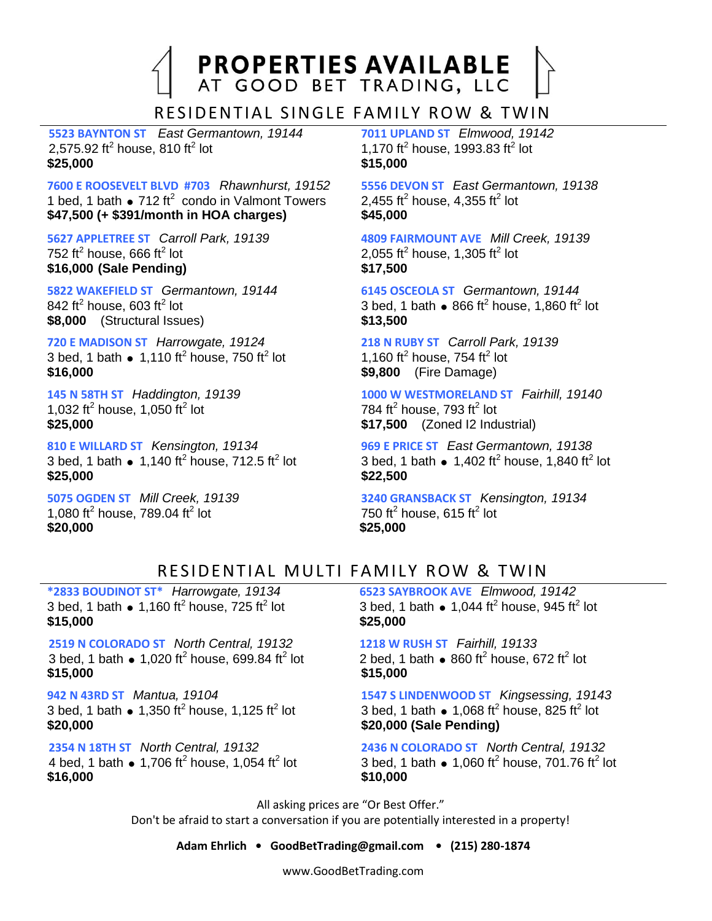PROPERTIES AVAILABLE<br>AT GOOD BET TRADING, LLC

RESIDENTIAL SINGLE FAMILY ROW & TWIN

**5523 BAYNTON ST** *East Germantown, 19144* 2,575.92 ft $^2$  house, 810 ft $^2$  lot **\$25,000**

**7600 E ROOSEVELT BLVD #703** *Rhawnhurst, 19152* 1 bed, 1 bath  $\bullet$  712 ft<sup>2</sup> condo in Valmont Towers **\$47,500 (+ \$391/month in HOA charges)**

**5627 APPLETREE ST** *Carroll Park, 19139* 752 ft $^{\rm 2}$  house, 666 ft $^{\rm 2}$  lot **\$16,000 (Sale Pending)**

**5822 WAKEFIELD ST** *Germantown, 19144* 842 ft $^{\rm 2}$  house, 603 ft $^{\rm 2}$  lot **\$8,000** (Structural Issues)

**720 E MADISON ST** *Harrowgate, 19124* 3 bed, 1 bath  $\bullet\,$  1,110 ft<sup>2</sup> house, 750 ft<sup>2</sup> lot **\$16,000**

**145 N 58TH ST** *Haddington, 19139* 1,032 ft<sup>2</sup> house, 1,050 ft<sup>2</sup> lot **\$25,000**

**810 E WILLARD ST** *Kensington, 19134* 3 bed, 1 bath  $\bullet$  1,140 ft<sup>2</sup> house, 712.5 ft<sup>2</sup> lot **\$25,000**

**5075 OGDEN ST** *Mill Creek, 19139* 1,080 ft<sup>2</sup> house, 789.04 ft<sup>2</sup> lot **\$20,000**

**7011 UPLAND ST** *Elmwood, 19142* 1,170 ft<sup>2</sup> house, 1993.83 ft<sup>2</sup> lot **\$15,000**

**5556 DEVON ST** *East Germantown, 19138* 2,455 ft $^{\rm 2}$  house, 4,355 ft $^{\rm 2}$  lot **\$45,000**

**4809 FAIRMOUNT AVE** *Mill Creek, 19139* 2,055 ft $^2$  house, 1,305 ft $^2$  lot **\$17,500**

**6145 OSCEOLA ST** *Germantown, 19144* 3 bed, 1 bath  $\bullet$  866 ft<sup>2</sup> house, 1,860 ft<sup>2</sup> lot **\$13,500**

**218 N RUBY ST** *Carroll Park, 19139* 1,160 ft $^2$  house, 754 ft $^2$  lot **\$9,800** (Fire Damage)

**1000 W WESTMORELAND ST** *Fairhill, 19140* 784 ft $^2$  house, 793 ft $^2$  lot **\$17,500** (Zoned I2 Industrial)

**969 E PRICE ST** *East Germantown, 19138* 3 bed, 1 bath  $\bullet$  1,402 ft<sup>2</sup> house, 1,840 ft<sup>2</sup> lot **\$22,500**

**3240 GRANSBACK ST** *Kensington, 19134* 750 ft $^2$  house, 615 ft $^2$  lot **\$25,000**

#### RESIDENTIAL MULTI FAMILY ROW & TWIN

**\*2833 BOUDINOT ST\*** *Harrowgate, 19134* 3 bed, 1 bath  $\bullet$  1,160 ft<sup>2</sup> house, 725 ft<sup>2</sup> lot **\$15,000**

**2519 N COLORADO ST** *North Central, 19132* 3 bed, 1 bath  $\bullet$  1,020 ft<sup>2</sup> house, 699.84 ft<sup>2</sup> lot **\$15,000**

**942 N 43RD ST** *Mantua, 19104* 3 bed, 1 bath  $\bullet$  1,350 ft<sup>2</sup> house, 1,125 ft<sup>2</sup> lot **\$20,000**

**2354 N 18TH ST** *North Central, 19132* 4 bed, 1 bath  $\bullet$  1,706 ft<sup>2</sup> house, 1,054 ft<sup>2</sup> lot **\$16,000**

**6523 SAYBROOK AVE** *Elmwood, 19142* 3 bed, 1 bath  $\bullet$  1,044 ft<sup>2</sup> house, 945 ft<sup>2</sup> lot **\$25,000**

**1218 W RUSH ST** *Fairhill, 19133* 2 bed, 1 bath  $\bullet$  860 ft<sup>2</sup> house, 672 ft<sup>2</sup> lot **\$15,000**

**1547 S LINDENWOOD ST** *Kingsessing, 19143* 3 bed, 1 bath  $\bullet$  1,068 ft<sup>2</sup> house, 825 ft<sup>2</sup> lot **\$20,000 (Sale Pending)**

**2436 N COLORADO ST** *North Central, 19132* 3 bed, 1 bath  $\bullet$  1,060 ft<sup>2</sup> house, 701.76 ft<sup>2</sup> lot **\$10,000**

All asking prices are "Or Best Offer."

Don't be afraid to start a conversation if you are potentially interested in a property!

**Adam Ehrlich • GoodBetTrading@gmail.com • (215) 280-1874**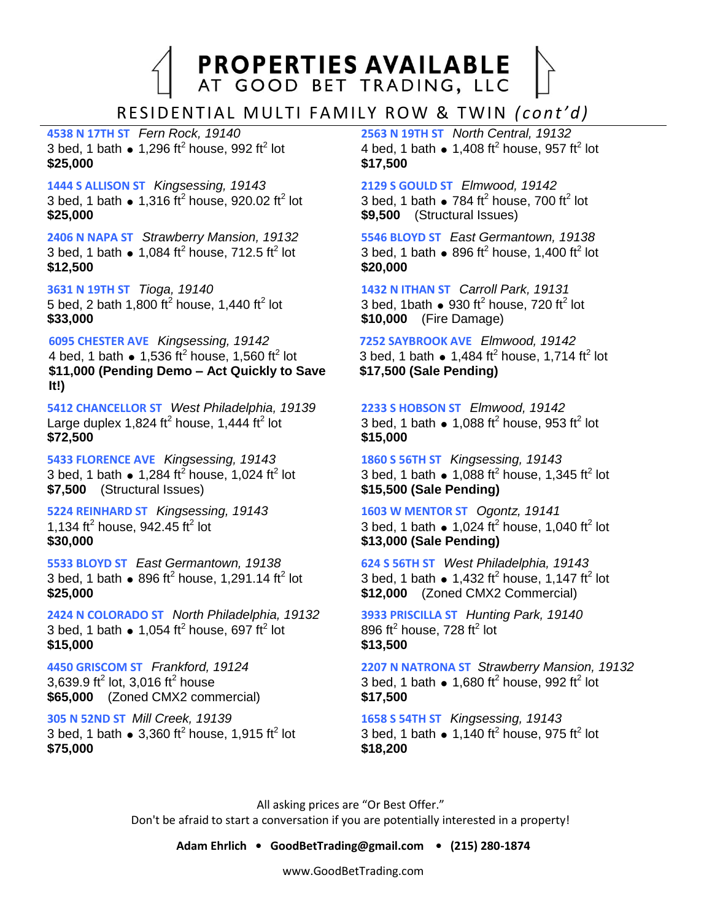PROPERTIES AVAILABLE<br>AT GOOD BET TRADING, LLC

RESIDENTIAL MULTI FAMILY ROW & TWIN *(cont'd)* 

**4538 N 17TH ST** *Fern Rock, 19140* 3 bed, 1 bath  $\bullet$  1,296 ft<sup>2</sup> house, 992 ft<sup>2</sup> lot **\$25,000**

**1444 S ALLISON ST** *Kingsessing, 19143* 3 bed, 1 bath  $\bullet$  1,316 ft<sup>2</sup> house, 920.02 ft<sup>2</sup> lot **\$25,000**

**2406 N NAPA ST** *Strawberry Mansion, 19132* 3 bed, 1 bath  $\bullet$  1,084 ft<sup>2</sup> house, 712.5 ft<sup>2</sup> lot **\$12,500**

**3631 N 19TH ST** *Tioga, 19140* 5 bed, 2 bath 1,800 ft<sup>2</sup> house, 1,440 ft<sup>2</sup> lot **\$33,000**

**6095 CHESTER AVE** *Kingsessing, 19142* 4 bed, 1 bath  $\bullet$  1,536 ft<sup>2</sup> house, 1,560 ft<sup>2</sup> lot **\$11,000 (Pending Demo – Act Quickly to Save It!)**

**5412 CHANCELLOR ST** *West Philadelphia, 19139* Large duplex 1,824 ft<sup>2</sup> house, 1,444 ft<sup>2</sup> lot **\$72,500**

**5433 FLORENCE AVE** *Kingsessing, 19143* 3 bed, 1 bath  $\bullet$  1,284 ft<sup>2</sup> house, 1,024 ft<sup>2</sup> lot **\$7,500** (Structural Issues)

**5224 REINHARD ST** *Kingsessing, 19143* 1,134 ft<sup>2</sup> house, 942.45 ft<sup>2</sup> lot **\$30,000**

**5533 BLOYD ST** *East Germantown, 19138* 3 bed, 1 bath  $\bullet$  896 ft<sup>2</sup> house, 1,291.14 ft<sup>2</sup> lot **\$25,000**

**2424 N COLORADO ST** *North Philadelphia, 19132* 3 bed, 1 bath  $\bullet$  1,054 ft<sup>2</sup> house, 697 ft<sup>2</sup> lot **\$15,000**

**4450 GRISCOM ST** *Frankford, 19124* 3,639.9 ft<sup>2</sup> lot, 3,016 ft<sup>2</sup> house **\$65,000** (Zoned CMX2 commercial)

**305 N 52ND ST** *Mill Creek, 19139* 3 bed, 1 bath  $\bullet$  3,360 ft<sup>2</sup> house, 1,915 ft<sup>2</sup> lot **\$75,000**

**2563 N 19TH ST** *North Central, 19132* 4 bed, 1 bath  $\bullet$  1,408 ft<sup>2</sup> house, 957 ft<sup>2</sup> lot **\$17,500**

**2129 S GOULD ST** *Elmwood, 19142* 3 bed, 1 bath  $\bullet$  784 ft<sup>2</sup> house, 700 ft<sup>2</sup> lot **\$9,500** (Structural Issues)

**5546 BLOYD ST** *East Germantown, 19138* 3 bed, 1 bath  $\bullet$  896 ft<sup>2</sup> house, 1,400 ft<sup>2</sup> lot **\$20,000**

**1432 N ITHAN ST** *Carroll Park, 19131* 3 bed, 1bath  $\bullet$  930 ft<sup>2</sup> house, 720 ft<sup>2</sup> lot **\$10,000** (Fire Damage)

**7252 SAYBROOK AVE** *Elmwood, 19142* 3 bed, 1 bath  $\bullet$  1,484 ft<sup>2</sup> house, 1,714 ft<sup>2</sup> lot **\$17,500 (Sale Pending)**

**2233 S HOBSON ST** *Elmwood, 19142* 3 bed, 1 bath  $\bullet$  1,088 ft<sup>2</sup> house, 953 ft<sup>2</sup> lot **\$15,000**

**1860 S 56TH ST** *Kingsessing, 19143* 3 bed, 1 bath  $\bullet$  1,088 ft<sup>2</sup> house, 1,345 ft<sup>2</sup> lot **\$15,500 (Sale Pending)**

**1603 W MENTOR ST** *Ogontz, 19141* 3 bed, 1 bath  $\bullet$  1,024 ft<sup>2</sup> house, 1,040 ft<sup>2</sup> lot **\$13,000 (Sale Pending)**

**624 S 56TH ST** *West Philadelphia, 19143* 3 bed, 1 bath  $\bullet$  1,432 ft<sup>2</sup> house, 1,147 ft<sup>2</sup> lot **\$12,000** (Zoned CMX2 Commercial)

**3933 PRISCILLA ST** *Hunting Park, 19140* 896 ft $^{\rm 2}$  house, 728 ft $^{\rm 2}$  lot **\$13,500**

**2207 N NATRONA ST** *Strawberry Mansion, 19132* 3 bed, 1 bath  $\bullet$  1,680 ft<sup>2</sup> house, 992 ft<sup>2</sup> lot **\$17,500**

**1658 S 54TH ST** *Kingsessing, 19143* 3 bed, 1 bath  $\bullet$  1,140 ft<sup>2</sup> house, 975 ft<sup>2</sup> lot **\$18,200**

All asking prices are "Or Best Offer." Don't be afraid to start a conversation if you are potentially interested in a property!

**Adam Ehrlich • GoodBetTrading@gmail.com • (215) 280-1874**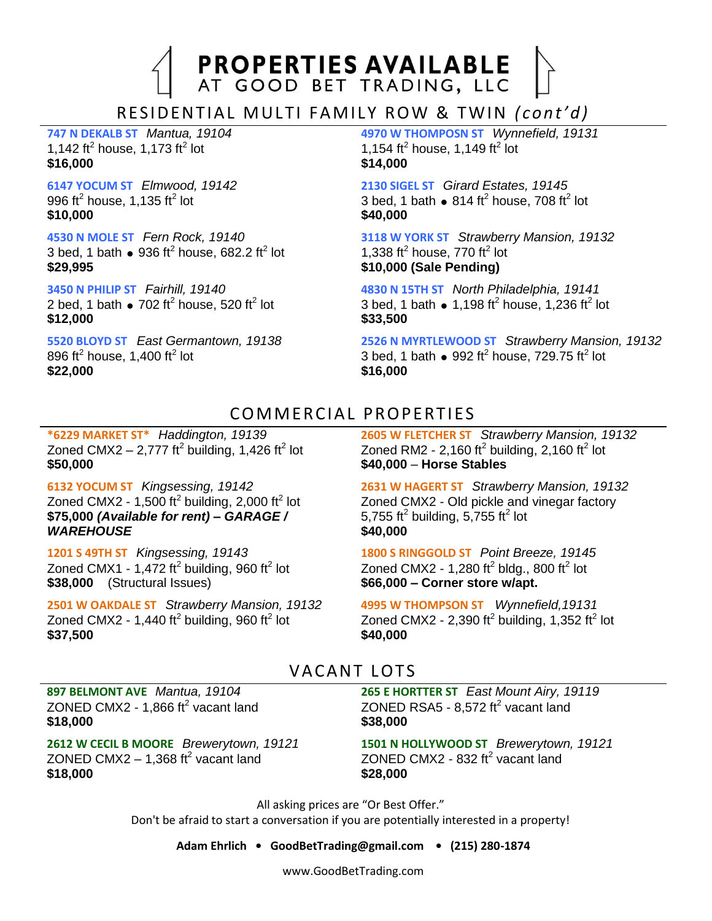PROPERTIES AVAILABLE<br>AT GOOD BET TRADING, LLC

RESIDENTIAL MULTI FAMILY ROW & TWIN *(cont'd)* 

**747 N DEKALB ST** *Mantua, 19104* 1,142 ft<sup>2</sup> house, 1,173 ft<sup>2</sup> lot **\$16,000**

**6147 YOCUM ST** *Elmwood, 19142* 996 ft $^2$  house, 1,135 ft $^2$  lot **\$10,000**

**4530 N MOLE ST** *Fern Rock, 19140* 3 bed, 1 bath  $\bullet$  936 ft<sup>2</sup> house, 682.2 ft<sup>2</sup> lot **\$29,995**

**3450 N PHILIP ST** *Fairhill, 19140* 2 bed, 1 bath  $\bullet$  702 ft<sup>2</sup> house, 520 ft<sup>2</sup> lot **\$12,000**

**5520 BLOYD ST** *East Germantown, 19138* 896 ft<sup>2</sup> house, 1,400 ft<sup>2</sup> lot **\$22,000**

**4970 W THOMPOSN ST** *Wynnefield, 19131* 1,154 ft<sup>2</sup> house, 1,149 ft<sup>2</sup> lot **\$14,000**

**2130 SIGEL ST** *Girard Estates, 19145* 3 bed, 1 bath  $\bullet$  814 ft<sup>2</sup> house, 708 ft<sup>2</sup> lot **\$40,000**

**3118 W YORK ST** *Strawberry Mansion, 19132* 1,338 ft<sup>2</sup> house, 770 ft<sup>2</sup> lot **\$10,000 (Sale Pending)**

**4830 N 15TH ST** *North Philadelphia, 19141* 3 bed, 1 bath  $\bullet$  1,198 ft<sup>2</sup> house, 1,236 ft<sup>2</sup> lot **\$33,500**

**2526 N MYRTLEWOOD ST** *Strawberry Mansion, 19132* 3 bed, 1 bath  $\bullet$  992 ft<sup>2</sup> house, 729.75 ft<sup>2</sup> lot **\$16,000**

#### COMMERCIAL PROPERTIES

**\*6229 MARKET ST\*** *Haddington, 19139* Zoned CMX2 – 2,777 ft<sup>2</sup> building, 1,426 ft<sup>2</sup> lot **\$50,000**

**6132 YOCUM ST** *Kingsessing, 19142* Zoned CMX2 - 1,500 ft<sup>2</sup> building, 2,000 ft<sup>2</sup> lot **\$75,000** *(Available for rent) – GARAGE / WAREHOUSE*

**1201 S 49TH ST** *Kingsessing, 19143* Zoned CMX1 - 1,472 ft<sup>2</sup> building, 960 ft<sup>2</sup> lot **\$38,000** (Structural Issues)

**2501 W OAKDALE ST** *Strawberry Mansion, 19132* Zoned CMX2 - 1,440 ft<sup>2</sup> building, 960 ft<sup>2</sup> lot **\$37,500**

**2605 W FLETCHER ST** *Strawberry Mansion, 19132* Zoned RM2 - 2,160 ft<sup>2</sup> building, 2,160 ft<sup>2</sup> lot **\$40,000** – **Horse Stables**

**2631 W HAGERT ST** *Strawberry Mansion, 19132* Zoned CMX2 - Old pickle and vinegar factory 5,755 ft<sup>2</sup> building, 5,755 ft<sup>2</sup> lot **\$40,000**

**1800 S RINGGOLD ST** *Point Breeze, 19145* Zoned CMX2 - 1,280 ft $^2$  bldg., 800 ft $^2$  lot **\$66,000 – Corner store w/apt.**

**4995 W THOMPSON ST** *Wynnefield,19131* Zoned CMX2 - 2,390 ft<sup>2</sup> building, 1,352 ft<sup>2</sup> lot **\$40,000**

### VACANT LOTS

**897 BELMONT AVE** *Mantua, 19104* ZONED CMX2 - 1,866 ft<sup>2</sup> vacant land **\$18,000**

**2612 W CECIL B MOORE** *Brewerytown, 19121* ZONED CMX2  $-$  1,368 ft<sup>2</sup> vacant land **\$18,000**

**265 E HORTTER ST** *East Mount Airy, 19119* ZONED RSA5 -  $8,572$  ft<sup>2</sup> vacant land **\$38,000**

**1501 N HOLLYWOOD ST** *Brewerytown, 19121* ZONED CMX2 - 832 ft<sup>2</sup> vacant land **\$28,000**

All asking prices are "Or Best Offer."

Don't be afraid to start a conversation if you are potentially interested in a property!

**Adam Ehrlich • GoodBetTrading@gmail.com • (215) 280-1874**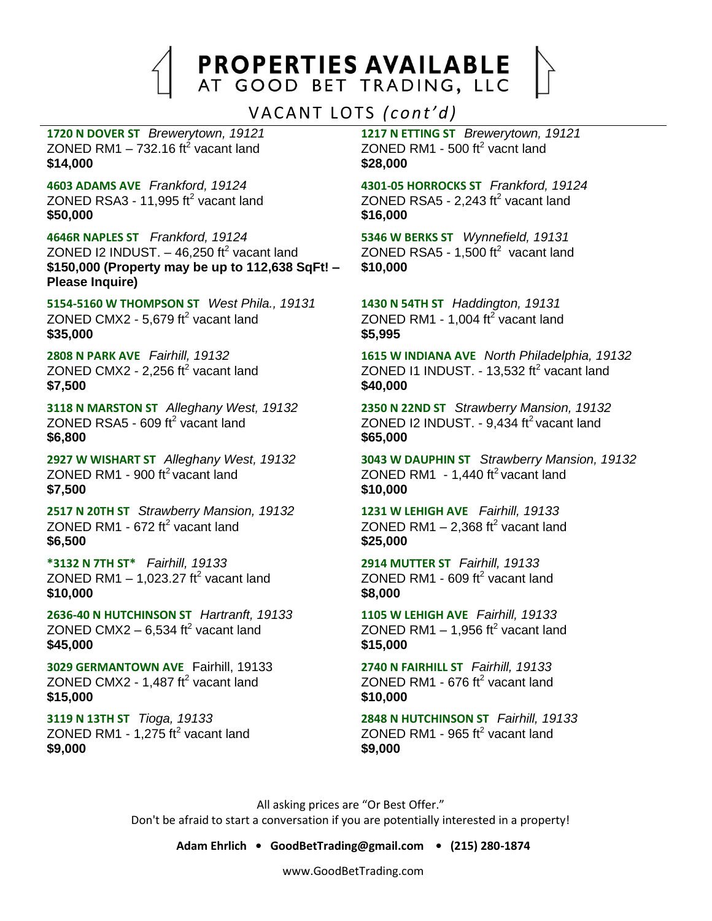PROPERTIES AVAILABLE<br>AT GOOD BET TRADING, LLC

VACANT LOTS *(cont'd)* 

**1720 N DOVER ST** *Brewerytown, 19121* ZONED RM1  $-$  732.16 ft<sup>2</sup> vacant land **\$14,000**

**4603 ADAMS AVE** *Frankford, 19124* ZONED RSA3 - 11,995  $\text{ft}^2$  vacant land **\$50,000**

**4646R NAPLES ST** *Frankford, 19124* ZONED I2 INDUST.  $-$  46,250 ft<sup>2</sup> vacant land **\$150,000 (Property may be up to 112,638 SqFt! – Please Inquire)**

**5154-5160 W THOMPSON ST** *West Phila., 19131* ZONED CMX2 -  $5,679$  ft<sup>2</sup> vacant land **\$35,000**

**2808 N PARK AVE** *Fairhill, 19132* ZONED CMX2 - 2,256 ft $^2$  vacant land **\$7,500**

**3118 N MARSTON ST** *Alleghany West, 19132* ZONED RSA5 -  $609$  ft<sup>2</sup> vacant land **\$6,800**

**2927 W WISHART ST** *Alleghany West, 19132* ZONED RM1 - 900  $\text{ft}^2$  vacant land **\$7,500**

**2517 N 20TH ST** *Strawberry Mansion, 19132* ZONED RM1 - 672 ft<sup>2</sup> vacant land **\$6,500**

**\*3132 N 7TH ST\*** *Fairhill, 19133* ZONED RM1  $-$  1,023.27 ft<sup>2</sup> vacant land **\$10,000**

**2636-40 N HUTCHINSON ST** *Hartranft, 19133* ZONED CMX2  $-$  6,534 ft<sup>2</sup> vacant land **\$45,000**

**3029 GERMANTOWN AVE** Fairhill, 19133 ZONED CMX2 - 1,487  $\text{ft}^2$  vacant land **\$15,000**

**3119 N 13TH ST** *Tioga, 19133* ZONED RM1 - 1,275 ft<sup>2</sup> vacant land **\$9,000**

**1217 N ETTING ST** *Brewerytown, 19121* ZONED RM1 - 500 ft<sup>2</sup> vacnt land **\$28,000**

**4301-05 HORROCKS ST** *Frankford, 19124* ZONED RSA5 - 2,243 ft<sup>2</sup> vacant land **\$16,000**

**5346 W BERKS ST** *Wynnefield, 19131* ZONED RSA5 - 1,500  $\text{ft}^2$  vacant land **\$10,000**

**1430 N 54TH ST** *Haddington, 19131* ZONED RM1 - 1,004  $\text{ft}^2$  vacant land **\$5,995**

**1615 W INDIANA AVE** *North Philadelphia, 19132* ZONED I1 INDUST.  $-$  13,532 ft<sup>2</sup> vacant land **\$40,000**

**2350 N 22ND ST** *Strawberry Mansion, 19132*  $ZONED$  I2 INDUST. - 9,434 ft<sup>2</sup> vacant land **\$65,000**

**3043 W DAUPHIN ST** *Strawberry Mansion, 19132* ZONED RM1  $-1,440$  ft<sup>2</sup> vacant land **\$10,000**

**1231 W LEHIGH AVE** *Fairhill, 19133* ZONED RM1  $-$  2,368 ft<sup>2</sup> vacant land **\$25,000**

**2914 MUTTER ST** *Fairhill, 19133* ZONED RM1 -  $609$  ft<sup>2</sup> vacant land **\$8,000**

**1105 W LEHIGH AVE** *Fairhill, 19133* ZONED RM1  $-$  1,956 ft<sup>2</sup> vacant land **\$15,000**

**2740 N FAIRHILL ST** *Fairhill, 19133* ZONED RM1 - 676 ft $^2$  vacant land **\$10,000**

**2848 N HUTCHINSON ST** *Fairhill, 19133* ZONED RM1 - 965 ft $^2$  vacant land **\$9,000**

All asking prices are "Or Best Offer." Don't be afraid to start a conversation if you are potentially interested in a property!

**Adam Ehrlich • GoodBetTrading@gmail.com • (215) 280-1874**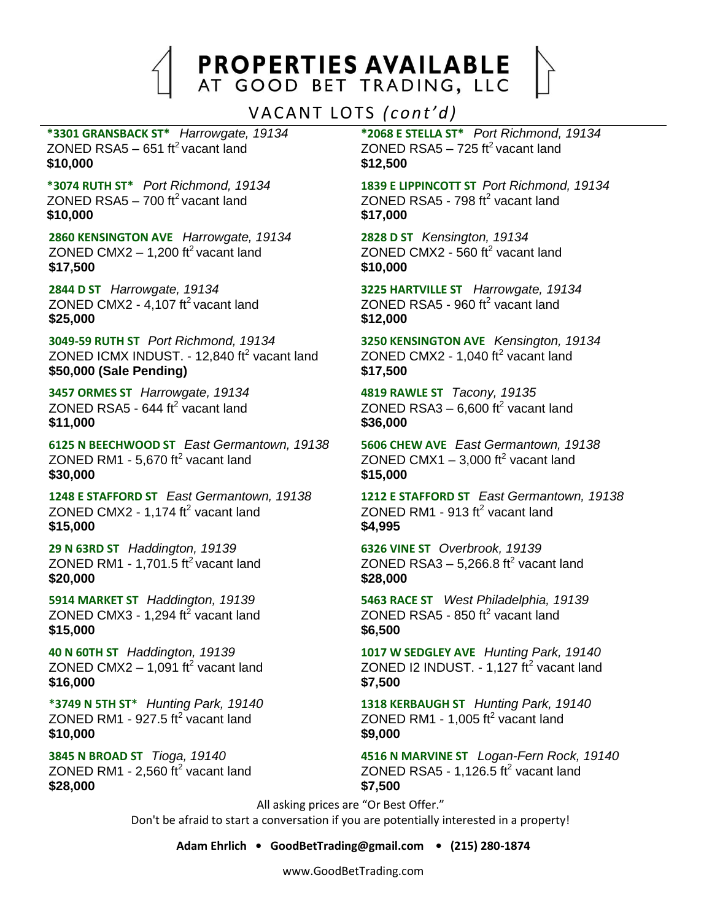PROPERTIES AVAILABLE<br>AT GOOD BET TRADING, LLC

# VACANT LOTS *(cont'd)*

**\*3301 GRANSBACK ST\*** *Harrowgate, 19134* ZONED RSA5  $-$  651 ft<sup>2</sup> vacant land **\$10,000**

**\*3074 RUTH ST\*** *Port Richmond, 19134* ZONED RSA5  $-$  700 ft<sup>2</sup> vacant land **\$10,000**

**2860 KENSINGTON AVE** *Harrowgate, 19134* ZONED CMX2  $-$  1,200 ft<sup>2</sup> vacant land **\$17,500**

**2844 D ST** *Harrowgate, 19134* ZONED CMX2 - 4,107  $\text{ft}^2$  vacant land **\$25,000**

**3049-59 RUTH ST** *Port Richmond, 19134* ZONED ICMX INDUST. - 12,840  $\text{ft}^2$  vacant land **\$50,000 (Sale Pending)**

**3457 ORMES ST** *Harrowgate, 19134*  $ZONED$  RSA5 - 644 ft<sup>2</sup> vacant land **\$11,000**

**6125 N BEECHWOOD ST** *East Germantown, 19138* ZONED RM1 - 5,670 ft<sup>2</sup> vacant land **\$30,000**

**1248 E STAFFORD ST** *East Germantown, 19138* ZONED CMX2 - 1,174 ft<sup>2</sup> vacant land **\$15,000**

**29 N 63RD ST** *Haddington, 19139* ZONED RM1 - 1,701.5  $\text{ft}^2$  vacant land **\$20,000**

**5914 MARKET ST** *Haddington, 19139* ZONED CMX3 - 1,294 ft<sup>2</sup> vacant land **\$15,000**

**40 N 60TH ST** *Haddington, 19139* ZONED CMX2  $-$  1,091 ft<sup>2</sup> vacant land **\$16,000**

**\*3749 N 5TH ST\*** *Hunting Park, 19140* ZONED RM1 - 927.5  $\text{ft}^2$  vacant land **\$10,000**

**3845 N BROAD ST** *Tioga, 19140* ZONED RM1 - 2,560 ft $^2$  vacant land **\$28,000**

**\*2068 E STELLA ST\*** *Port Richmond, 19134* ZONED RSA5  $-$  725 ft<sup>2</sup> vacant land **\$12,500**

**1839 E LIPPINCOTT ST** *Port Richmond, 19134* ZONED RSA5 - 798 ft<sup>2</sup> vacant land **\$17,000**

**2828 D ST** *Kensington, 19134* ZONED CMX2 - 560 ft<sup>2</sup> vacant land **\$10,000**

**3225 HARTVILLE ST** *Harrowgate, 19134* ZONED RSA5 - 960  $\text{ft}^2$  vacant land **\$12,000**

**3250 KENSINGTON AVE** *Kensington, 19134* ZONED CMX2 - 1,040 ft<sup>2</sup> vacant land **\$17,500**

**4819 RAWLE ST** *Tacony, 19135* ZONED RSA3  $-$  6,600 ft<sup>2</sup> vacant land **\$36,000**

**5606 CHEW AVE** *East Germantown, 19138* ZONED CMX1  $-$  3,000 ft<sup>2</sup> vacant land **\$15,000**

**1212 E STAFFORD ST** *East Germantown, 19138*  $ZONED RM1 - 913 ft<sup>2</sup> vacant land$ **\$4,995**

**6326 VINE ST** *Overbrook, 19139* ZONED RSA3  $-$  5,266.8 ft<sup>2</sup> vacant land **\$28,000**

**5463 RACE ST** *West Philadelphia, 19139* ZONED RSA5 - 850 ft<sup>2</sup> vacant land **\$6,500**

**1017 W SEDGLEY AVE** *Hunting Park, 19140*  $ZONED$  I2 INDUST. - 1,127 ft<sup>2</sup> vacant land **\$7,500**

**1318 KERBAUGH ST** *Hunting Park, 19140* ZONED RM1 - 1,005 ft $^2$  vacant land **\$9,000**

**4516 N MARVINE ST** *Logan-Fern Rock, 19140* ZONED RSA5 - 1,126.5  $\text{ft}^2$  vacant land **\$7,500**

All asking prices are "Or Best Offer."

Don't be afraid to start a conversation if you are potentially interested in a property!

**Adam Ehrlich • GoodBetTrading@gmail.com • (215) 280-1874**